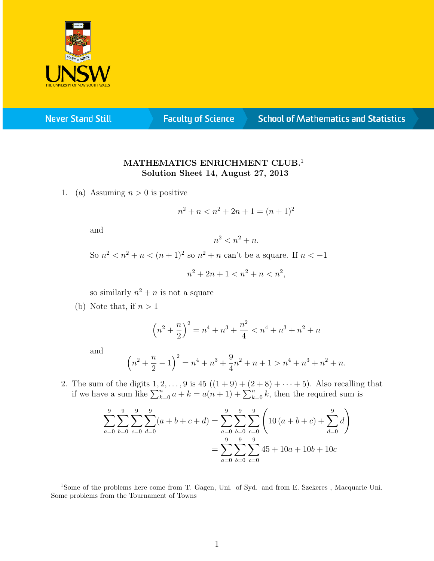

**Never Stand Still** 

**Faculty of Science** 

## **School of Mathematics and Statistics**

## MATHEMATICS ENRICHMENT CLUB.<sup>1</sup> Solution Sheet 14, August 27, 2013

1. (a) Assuming  $n > 0$  is positive

$$
n^2 + n < n^2 + 2n + 1 = (n+1)^2
$$

and

$$
n^2 < n^2 + n.
$$

So  $n^2 < n^2 + n < (n+1)^2$  so  $n^2 + n$  can't be a square. If  $n < -1$ 

$$
n^2 + 2n + 1 < n^2 + n < n^2
$$

so similarly  $n^2 + n$  is not a square

(b) Note that, if  $n > 1$ 

$$
\left(n^2 + \frac{n}{2}\right)^2 = n^4 + n^3 + \frac{n^2}{4} < n^4 + n^3 + n^2 + n
$$

and

$$
\left(n^2 + \frac{n}{2} - 1\right)^2 = n^4 + n^3 + \frac{9}{4}n^2 + n + 1 > n^4 + n^3 + n^2 + n.
$$

2. The sum of the digits  $1, 2, ..., 9$  is  $45((1 + 9) + (2 + 8) + ... + 5)$ . Also recalling that if we have a sum like  $\sum_{k=0}^{n} a + k = a(n+1) + \sum_{k=0}^{n} k$ , then the required sum is

$$
\sum_{a=0}^{9} \sum_{b=0}^{9} \sum_{c=0}^{9} \sum_{d=0}^{9} (a+b+c+d) = \sum_{a=0}^{9} \sum_{b=0}^{9} \sum_{c=0}^{9} \left(10(a+b+c) + \sum_{d=0}^{9} d\right)
$$

$$
= \sum_{a=0}^{9} \sum_{b=0}^{9} \sum_{c=0}^{9} 45 + 10a + 10b + 10c
$$

<sup>1</sup>Some of the problems here come from T. Gagen, Uni. of Syd. and from E. Szekeres , Macquarie Uni. Some problems from the Tournament of Towns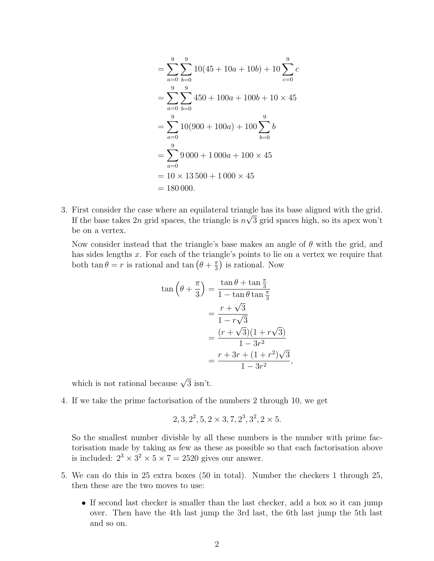$$
= \sum_{a=0}^{9} \sum_{b=0}^{9} 10(45 + 10a + 10b) + 10 \sum_{c=0}^{9} c
$$
  
= 
$$
\sum_{a=0}^{9} \sum_{b=0}^{9} 450 + 100a + 100b + 10 \times 45
$$
  
= 
$$
\sum_{a=0}^{9} 10(900 + 100a) + 100 \sum_{b=0}^{9} b
$$
  
= 
$$
\sum_{a=0}^{9} 9 000 + 1 000a + 100 \times 45
$$
  
= 
$$
10 \times 13 500 + 1 000 \times 45
$$
  
= 180 000.

3. First consider the case where an equilateral triangle has its base aligned with the grid. If the base takes 2n grid spaces, the triangle is  $n\sqrt{3}$  grid spaces high, so its apex won't be on a vertex.

Now consider instead that the triangle's base makes an angle of  $\theta$  with the grid, and has sides lengths x. For each of the triangle's points to lie on a vertex we require that both  $\tan \theta = r$  is rational and  $\tan (\theta + \frac{\pi}{3})$  $\frac{\pi}{3}$ ) is rational. Now

$$
\tan\left(\theta + \frac{\pi}{3}\right) = \frac{\tan\theta + \tan\frac{\pi}{3}}{1 - \tan\theta \tan\frac{\pi}{3}}
$$

$$
= \frac{r + \sqrt{3}}{1 - r\sqrt{3}}
$$

$$
= \frac{(r + \sqrt{3})(1 + r\sqrt{3})}{1 - 3r^2}
$$

$$
= \frac{r + 3r + (1 + r^2)\sqrt{3}}{1 - 3r^2}
$$

,

which is not rational because  $\sqrt{3}$  isn't.

4. If we take the prime factorisation of the numbers 2 through 10, we get

$$
2, 3, 2^2, 5, 2 \times 3, 7, 2^3, 3^2, 2 \times 5.
$$

So the smallest number divisble by all these numbers is the number with prime factorisation made by taking as few as these as possible so that each factorisation above is included:  $2^3 \times 3^2 \times 5 \times 7 = 2520$  gives our answer.

- 5. We can do this in 25 extra boxes (50 in total). Number the checkers 1 through 25, then these are the two moves to use:
	- If second last checker is smaller than the last checker, add a box so it can jump over. Then have the 4th last jump the 3rd last, the 6th last jump the 5th last and so on.